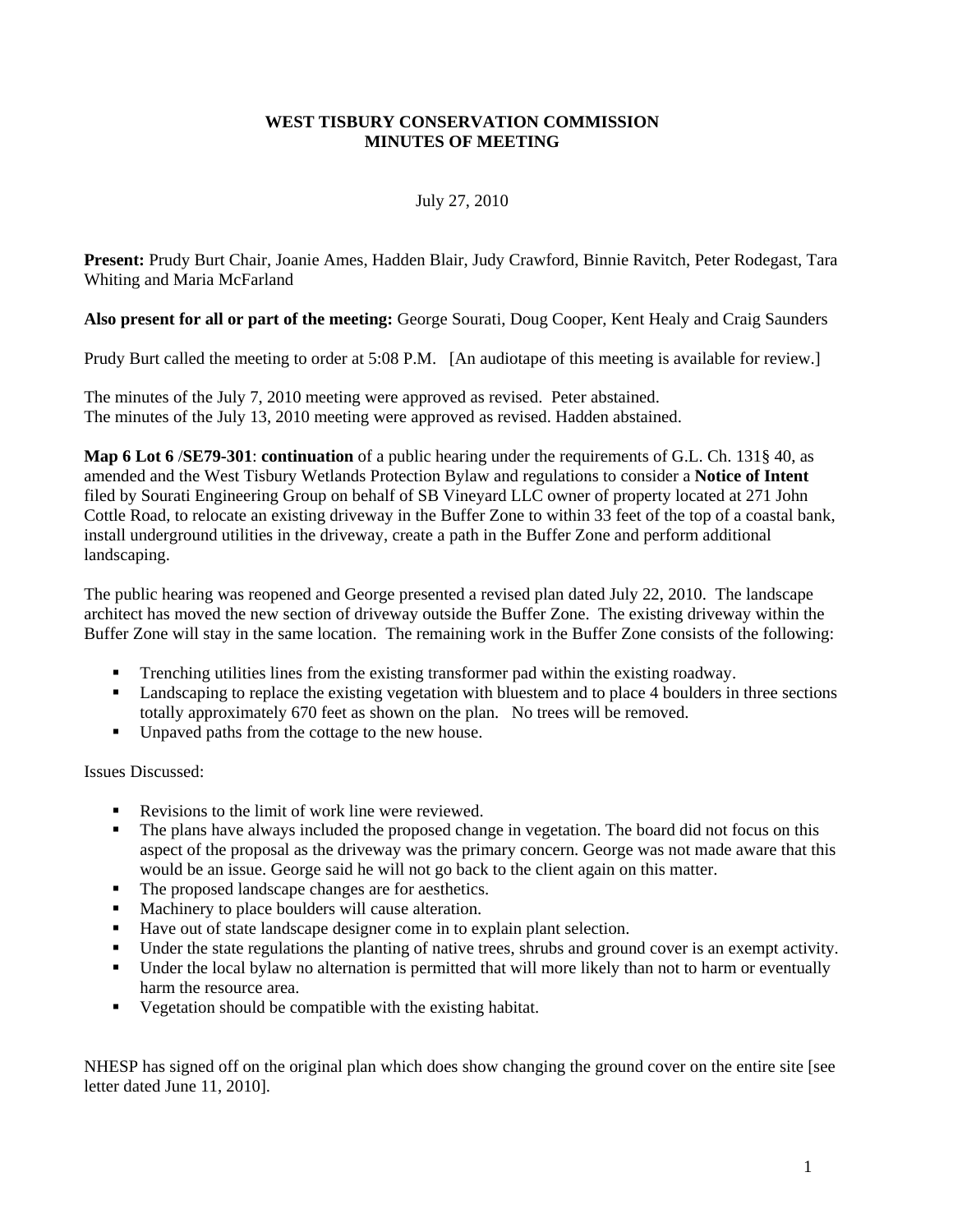### **WEST TISBURY CONSERVATION COMMISSION MINUTES OF MEETING**

## July 27, 2010

**Present:** Prudy Burt Chair, Joanie Ames, Hadden Blair, Judy Crawford, Binnie Ravitch, Peter Rodegast, Tara Whiting and Maria McFarland

## **Also present for all or part of the meeting:** George Sourati, Doug Cooper, Kent Healy and Craig Saunders

Prudy Burt called the meeting to order at 5:08 P.M. [An audiotape of this meeting is available for review.]

The minutes of the July 7, 2010 meeting were approved as revised. Peter abstained. The minutes of the July 13, 2010 meeting were approved as revised. Hadden abstained.

**Map 6 Lot 6** /**SE79-301**: **continuation** of a public hearing under the requirements of G.L. Ch. 131§ 40, as amended and the West Tisbury Wetlands Protection Bylaw and regulations to consider a **Notice of Intent** filed by Sourati Engineering Group on behalf of SB Vineyard LLC owner of property located at 271 John Cottle Road, to relocate an existing driveway in the Buffer Zone to within 33 feet of the top of a coastal bank, install underground utilities in the driveway, create a path in the Buffer Zone and perform additional landscaping.

The public hearing was reopened and George presented a revised plan dated July 22, 2010. The landscape architect has moved the new section of driveway outside the Buffer Zone. The existing driveway within the Buffer Zone will stay in the same location. The remaining work in the Buffer Zone consists of the following:

- Trenching utilities lines from the existing transformer pad within the existing roadway.
- **Example 1** Landscaping to replace the existing vegetation with bluestem and to place 4 boulders in three sections totally approximately 670 feet as shown on the plan. No trees will be removed.
- Unpaved paths from the cottage to the new house.

Issues Discussed:

- Revisions to the limit of work line were reviewed.
- The plans have always included the proposed change in vegetation. The board did not focus on this aspect of the proposal as the driveway was the primary concern. George was not made aware that this would be an issue. George said he will not go back to the client again on this matter.
- The proposed landscape changes are for aesthetics.
- Machinery to place boulders will cause alteration.
- Have out of state landscape designer come in to explain plant selection.
- Under the state regulations the planting of native trees, shrubs and ground cover is an exempt activity.
- Under the local bylaw no alternation is permitted that will more likely than not to harm or eventually harm the resource area.
- Vegetation should be compatible with the existing habitat.

NHESP has signed off on the original plan which does show changing the ground cover on the entire site [see letter dated June 11, 2010].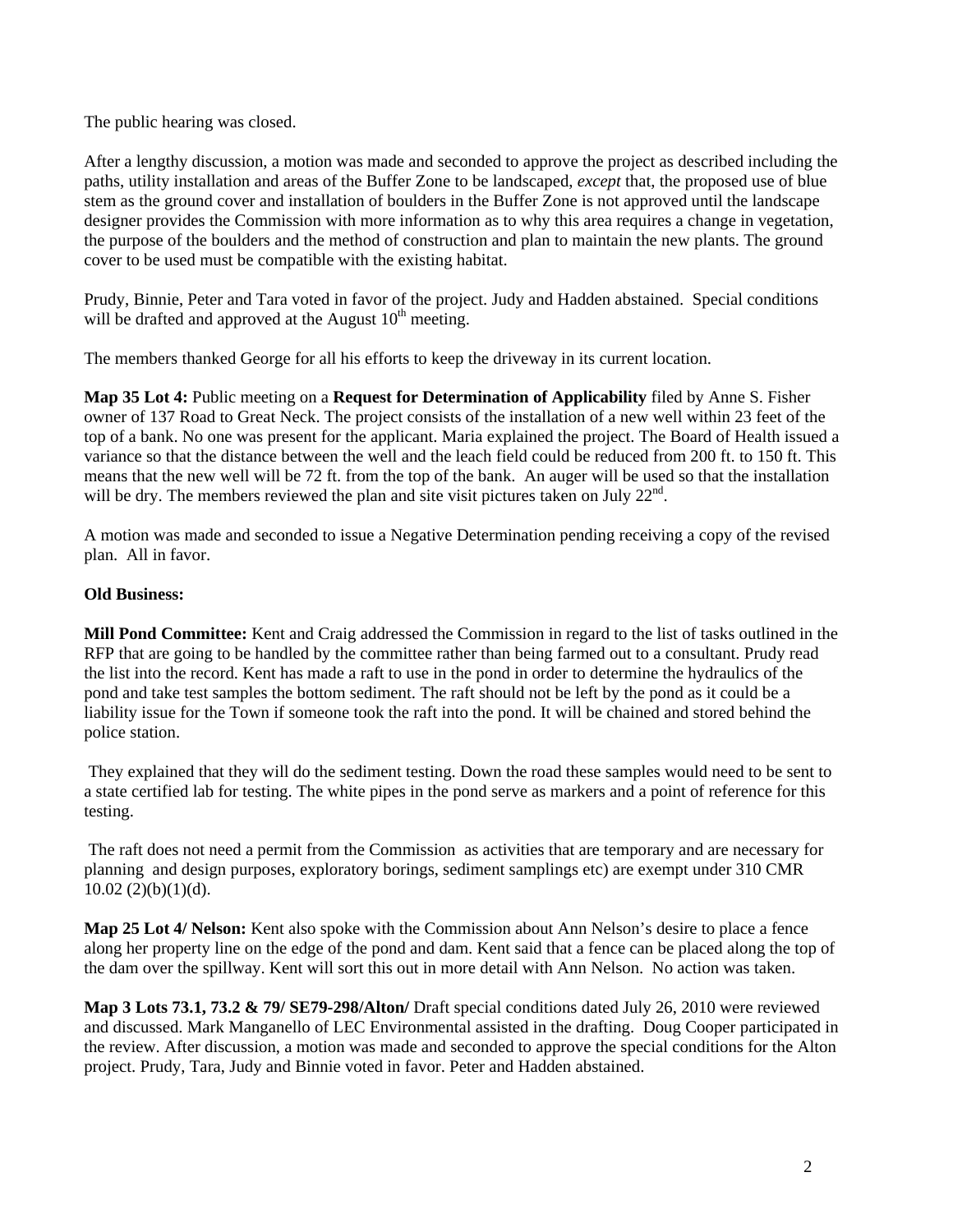The public hearing was closed.

After a lengthy discussion, a motion was made and seconded to approve the project as described including the paths, utility installation and areas of the Buffer Zone to be landscaped, *except* that, the proposed use of blue stem as the ground cover and installation of boulders in the Buffer Zone is not approved until the landscape designer provides the Commission with more information as to why this area requires a change in vegetation, the purpose of the boulders and the method of construction and plan to maintain the new plants. The ground cover to be used must be compatible with the existing habitat.

Prudy, Binnie, Peter and Tara voted in favor of the project. Judy and Hadden abstained. Special conditions will be drafted and approved at the August  $10<sup>th</sup>$  meeting.

The members thanked George for all his efforts to keep the driveway in its current location.

**Map 35 Lot 4:** Public meeting on a **Request for Determination of Applicability** filed by Anne S. Fisher owner of 137 Road to Great Neck. The project consists of the installation of a new well within 23 feet of the top of a bank. No one was present for the applicant. Maria explained the project. The Board of Health issued a variance so that the distance between the well and the leach field could be reduced from 200 ft. to 150 ft. This means that the new well will be 72 ft. from the top of the bank. An auger will be used so that the installation will be dry. The members reviewed the plan and site visit pictures taken on July  $22<sup>nd</sup>$ .

A motion was made and seconded to issue a Negative Determination pending receiving a copy of the revised plan. All in favor.

# **Old Business:**

**Mill Pond Committee:** Kent and Craig addressed the Commission in regard to the list of tasks outlined in the RFP that are going to be handled by the committee rather than being farmed out to a consultant. Prudy read the list into the record. Kent has made a raft to use in the pond in order to determine the hydraulics of the pond and take test samples the bottom sediment. The raft should not be left by the pond as it could be a liability issue for the Town if someone took the raft into the pond. It will be chained and stored behind the police station.

 They explained that they will do the sediment testing. Down the road these samples would need to be sent to a state certified lab for testing. The white pipes in the pond serve as markers and a point of reference for this testing.

 The raft does not need a permit from the Commission as activities that are temporary and are necessary for planning and design purposes, exploratory borings, sediment samplings etc) are exempt under 310 CMR  $10.02$  (2)(b)(1)(d).

**Map 25 Lot 4/ Nelson:** Kent also spoke with the Commission about Ann Nelson's desire to place a fence along her property line on the edge of the pond and dam. Kent said that a fence can be placed along the top of the dam over the spillway. Kent will sort this out in more detail with Ann Nelson. No action was taken.

**Map 3 Lots 73.1, 73.2 & 79/ SE79-298/Alton/** Draft special conditions dated July 26, 2010 were reviewed and discussed. Mark Manganello of LEC Environmental assisted in the drafting. Doug Cooper participated in the review. After discussion, a motion was made and seconded to approve the special conditions for the Alton project. Prudy, Tara, Judy and Binnie voted in favor. Peter and Hadden abstained.